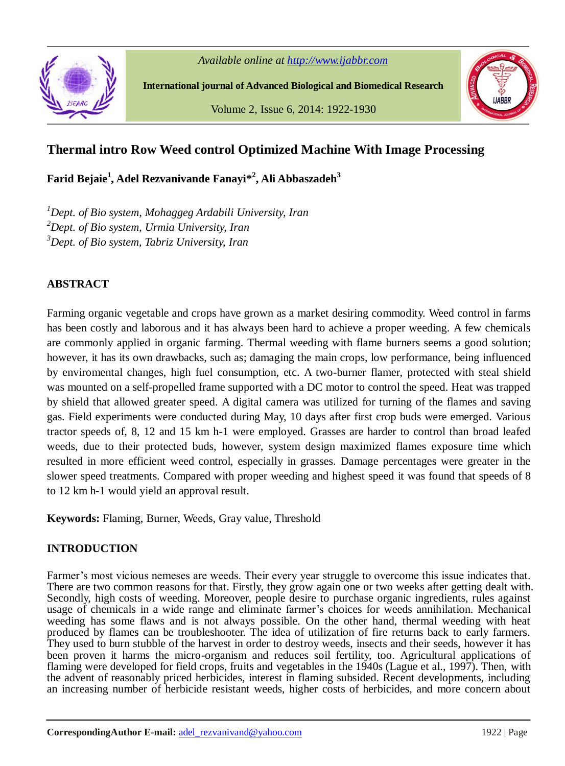

*Available online at http://www.ijabbr.com*

**International journal of Advanced Biological and Biomedical Research**

Volume 2, Issue 6, 2014: 1922-1930



# **Thermal intro Row Weed control Optimized Machine With Image Processing**

**Farid Bejaie<sup>1</sup> , Adel Rezvanivande Fanayi\* 2 , Ali Abbaszadeh<sup>3</sup>**

*<sup>1</sup>Dept. of Bio system, Mohaggeg Ardabili University, Iran <sup>2</sup>Dept. of Bio system, Urmia University, Iran <sup>3</sup>Dept. of Bio system, Tabriz University, Iran*

# **ABSTRACT**

Farming organic vegetable and crops have grown as a market desiring commodity. Weed control in farms has been costly and laborous and it has always been hard to achieve a proper weeding. A few chemicals are commonly applied in organic farming. Thermal weeding with flame burners seems a good solution; however, it has its own drawbacks, such as; damaging the main crops, low performance, being influenced by enviromental changes, high fuel consumption, etc. A two-burner flamer, protected with steal shield was mounted on a self-propelled frame supported with a DC motor to control the speed. Heat was trapped by shield that allowed greater speed. A digital camera was utilized for turning of the flames and saving gas. Field experiments were conducted during May, 10 days after first crop buds were emerged. Various tractor speeds of, 8, 12 and 15 km h-1 were employed. Grasses are harder to control than broad leafed weeds, due to their protected buds, however, system design maximized flames exposure time which resulted in more efficient weed control, especially in grasses. Damage percentages were greater in the slower speed treatments. Compared with proper weeding and highest speed it was found that speeds of 8 to 12 km h-1 would yield an approval result.

**Keywords:** Flaming, Burner, Weeds, Gray value, Threshold

# **INTRODUCTION**

Farmer's most vicious nemeses are weeds. Their every year struggle to overcome this issue indicates that. There are two common reasons for that. Firstly, they grow again one or two weeks after getting dealt with. Secondly, high costs of weeding. Moreover, people desire to purchase organic ingredients, rules against usage of chemicals in a wide range and eliminate farmer's choices for weeds annihilation. Mechanical weeding has some flaws and is not always possible. On the other hand, thermal weeding with heat produced by flames can be troubleshooter. The idea of utilization of fire returns back to early farmers. They used to burn stubble of the harvest in order to destroy weeds, insects and their seeds, however it has been proven it harms the micro-organism and reduces soil fertility, too. Agricultural applications of flaming were developed for field crops, fruits and vegetables in the 1940s (Lague et al., 1997). Then, with the advent of reasonably priced herbicides, interest in flaming subsided. Recent developments, including an increasing number of herbicide resistant weeds, higher costs of herbicides, and more concern about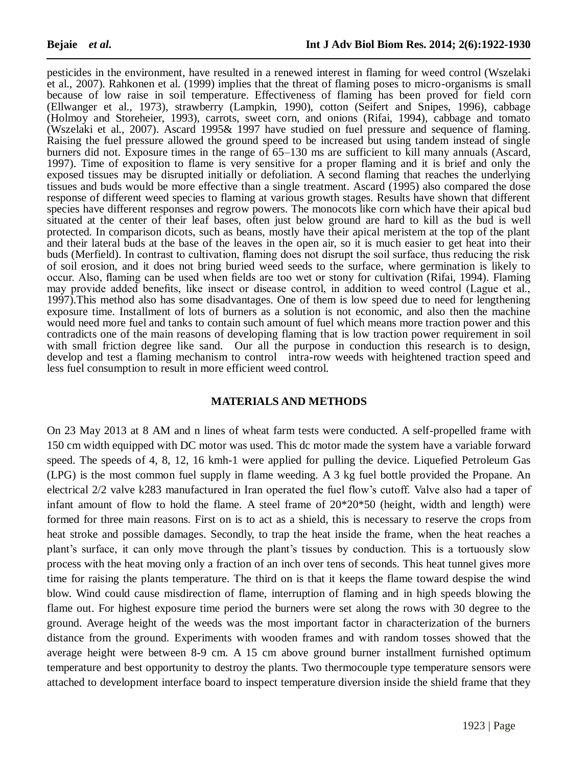pesticides in the environment, have resulted in a renewed interest in flaming for weed control (Wszelaki et al., 2007). Rahkonen et al. (1999) implies that the threat of flaming poses to micro-organisms is small because of low raise in soil temperature. Effectiveness of flaming has been proved for field corn (Ellwanger et al., 1973), strawberry (Lampkin, 1990), cotton (Seifert and Snipes, 1996), cabbage (Holmoy and Storeheier, 1993), carrots, sweet corn, and onions (Rifai, 1994), cabbage and tomato (Wszelaki et al., 2007). Ascard 1995& 1997 have studied on fuel pressure and sequence of flaming. Raising the fuel pressure allowed the ground speed to be increased but using tandem instead of single burners did not. Exposure times in the range of 65–130 ms are sufficient to kill many annuals (Ascard, 1997). Time of exposition to flame is very sensitive for a proper flaming and it is brief and only the exposed tissues may be disrupted initially or defoliation. A second flaming that reaches the underlying tissues and buds would be more effective than a single treatment. Ascard (1995) also compared the dose response of different weed species to flaming at various growth stages. Results have shown that different species have different responses and regrow powers. The monocots like corn which have their apical bud situated at the center of their leaf bases, often just below ground are hard to kill as the bud is well protected. In comparison dicots, such as beans, mostly have their apical meristem at the top of the plant and their lateral buds at the base of the leaves in the open air, so it is much easier to get heat into their buds (Merfield). In contrast to cultivation, flaming does not disrupt the soil surface, thus reducing the risk of soil erosion, and it does not bring buried weed seeds to the surface, where germination is likely to occur. Also, flaming can be used when fields are too wet or stony for cultivation (Rifai, 1994). Flaming may provide added benefits, like insect or disease control, in addition to weed control (Lague et al., 1997).This method also has some disadvantages. One of them is low speed due to need for lengthening exposure time. Installment of lots of burners as a solution is not economic, and also then the machine would need more fuel and tanks to contain such amount of fuel which means more traction power and this contradicts one of the main reasons of developing flaming that is low traction power requirement in soil with small friction degree like sand. Our all the purpose in conduction this research is to design, develop and test a flaming mechanism to control intra-row weeds with heightened traction speed and less fuel consumption to result in more efficient weed control.

#### **MATERIALS AND METHODS**

On 23 May 2013 at 8 AM and n lines of wheat farm tests were conducted. A self-propelled frame with 150 cm width equipped with DC motor was used. This dc motor made the system have a variable forward speed. The speeds of 4, 8, 12, 16 kmh-1 were applied for pulling the device. Liquefied Petroleum Gas (LPG) is the most common fuel supply in flame weeding. A 3 kg fuel bottle provided the Propane. An electrical 2/2 valve k283 manufactured in Iran operated the fuel flow's cutoff. Valve also had a taper of infant amount of flow to hold the flame. A steel frame of  $20*20*50$  (height, width and length) were formed for three main reasons. First on is to act as a shield, this is necessary to reserve the crops from heat stroke and possible damages. Secondly, to trap the heat inside the frame, when the heat reaches a plant's surface, it can only move through the plant's tissues by conduction. This is a tortuously slow process with the heat moving only a fraction of an inch over tens of seconds. This heat tunnel gives more time for raising the plants temperature. The third on is that it keeps the flame toward despise the wind blow. Wind could cause misdirection of flame, interruption of flaming and in high speeds blowing the flame out. For highest exposure time period the burners were set along the rows with 30 degree to the ground. Average height of the weeds was the most important factor in characterization of the burners distance from the ground. Experiments with wooden frames and with random tosses showed that the average height were between 8-9 cm. A 15 cm above ground burner installment furnished optimum temperature and best opportunity to destroy the plants. Two thermocouple type temperature sensors were attached to development interface board to inspect temperature diversion inside the shield frame that they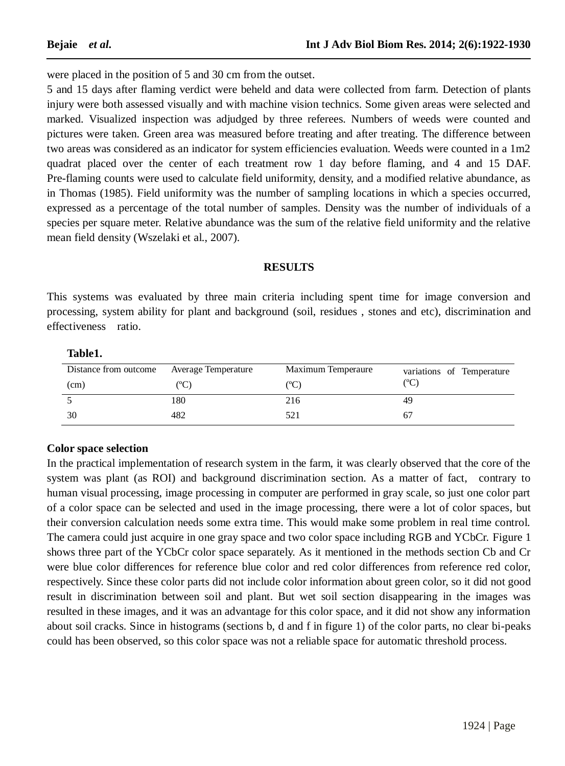were placed in the position of 5 and 30 cm from the outset.

5 and 15 days after flaming verdict were beheld and data were collected from farm. Detection of plants injury were both assessed visually and with machine vision technics. Some given areas were selected and marked. Visualized inspection was adjudged by three referees. Numbers of weeds were counted and pictures were taken. Green area was measured before treating and after treating. The difference between two areas was considered as an indicator for system efficiencies evaluation. Weeds were counted in a 1m2 quadrat placed over the center of each treatment row 1 day before flaming, and 4 and 15 DAF. Pre-flaming counts were used to calculate field uniformity, density, and a modified relative abundance, as in Thomas (1985). Field uniformity was the number of sampling locations in which a species occurred, expressed as a percentage of the total number of samples. Density was the number of individuals of a species per square meter. Relative abundance was the sum of the relative field uniformity and the relative mean field density (Wszelaki et al., 2007).

### **RESULTS**

This systems was evaluated by three main criteria including spent time for image conversion and processing, system ability for plant and background (soil, residues , stones and etc), discrimination and effectiveness ratio.

**Table1.** 

| Distance from outcome | <b>Average Temperature</b> | Maximum Temperaure | variations of Temperature |
|-----------------------|----------------------------|--------------------|---------------------------|
| (cm)                  | (°C)                       | (°C)               | (°C)                      |
|                       | 180                        | 216                |                           |
| 30                    | 482                        | 521                | 67                        |

## **Color space selection**

In the practical implementation of research system in the farm, it was clearly observed that the core of the system was plant (as ROI) and background discrimination section. As a matter of fact, contrary to human visual processing, image processing in computer are performed in gray scale, so just one color part of a color space can be selected and used in the image processing, there were a lot of color spaces, but their conversion calculation needs some extra time. This would make some problem in real time control. The camera could just acquire in one gray space and two color space including RGB and YCbCr. Figure 1 shows three part of the YCbCr color space separately. As it mentioned in the methods section Cb and Cr were blue color differences for reference blue color and red color differences from reference red color, respectively. Since these color parts did not include color information about green color, so it did not good result in discrimination between soil and plant. But wet soil section disappearing in the images was resulted in these images, and it was an advantage for this color space, and it did not show any information about soil cracks. Since in histograms (sections b, d and f in figure 1) of the color parts, no clear bi-peaks could has been observed, so this color space was not a reliable space for automatic threshold process.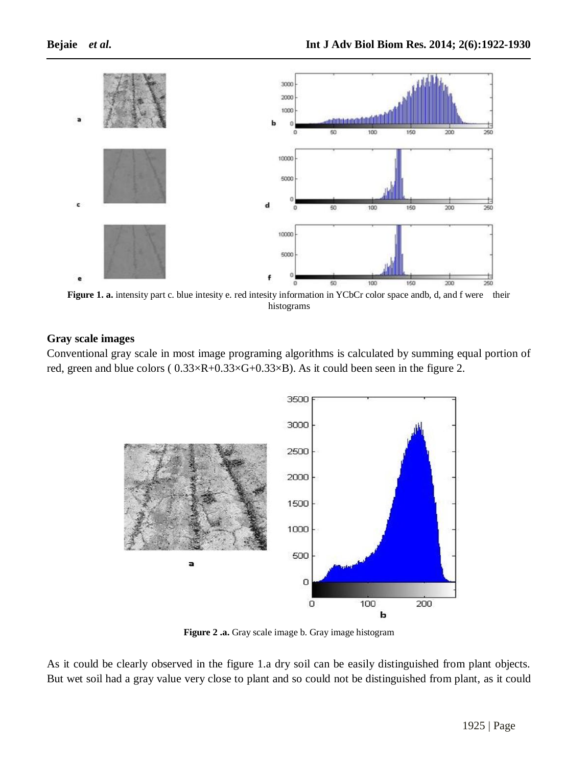

**Figure 1. a.** intensity part c. blue intesity e. red intesity information in YCbCr color space andb, d, and f were their histograms

## **Gray scale images**

Conventional gray scale in most image programing algorithms is calculated by summing equal portion of red, green and blue colors ( 0.33×R+0.33×G+0.33×B). As it could been seen in the figure 2.



**Figure 2 .a.** Gray scale image b. Gray image histogram

As it could be clearly observed in the figure 1.a dry soil can be easily distinguished from plant objects. But wet soil had a gray value very close to plant and so could not be distinguished from plant, as it could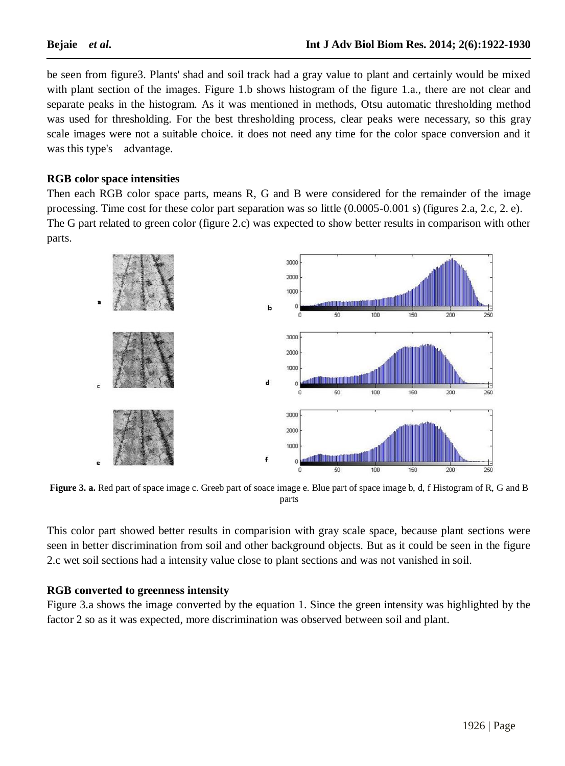be seen from figure3. Plants' shad and soil track had a gray value to plant and certainly would be mixed with plant section of the images. Figure 1.b shows histogram of the figure 1.a., there are not clear and separate peaks in the histogram. As it was mentioned in methods, Otsu automatic thresholding method was used for thresholding. For the best thresholding process, clear peaks were necessary, so this gray scale images were not a suitable choice. it does not need any time for the color space conversion and it was this type's advantage.

### **RGB color space intensities**

Then each RGB color space parts, means R, G and B were considered for the remainder of the image processing. Time cost for these color part separation was so little (0.0005-0.001 s) (figures 2.a, 2.c, 2. e). The G part related to green color (figure 2.c) was expected to show better results in comparison with other parts.



**Figure 3. a.** Red part of space image c. Greeb part of soace image e. Blue part of space image b, d, f Histogram of R, G and B parts

This color part showed better results in comparision with gray scale space, because plant sections were seen in better discrimination from soil and other background objects. But as it could be seen in the figure 2.c wet soil sections had a intensity value close to plant sections and was not vanished in soil.

#### **RGB converted to greenness intensity**

Figure 3.a shows the image converted by the equation 1. Since the green intensity was highlighted by the factor 2 so as it was expected, more discrimination was observed between soil and plant.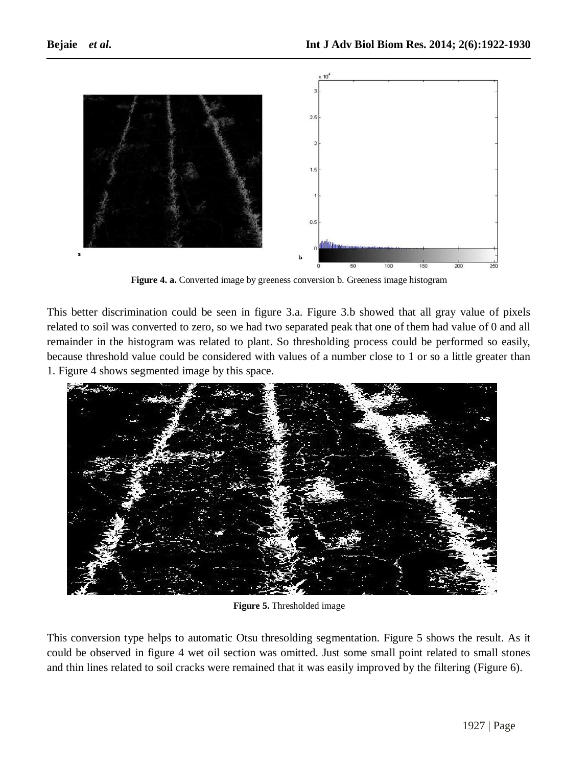

**Figure 4. a.** Converted image by greeness conversion b. Greeness image histogram

This better discrimination could be seen in figure 3.a. Figure 3.b showed that all gray value of pixels related to soil was converted to zero, so we had two separated peak that one of them had value of 0 and all remainder in the histogram was related to plant. So thresholding process could be performed so easily, because threshold value could be considered with values of a number close to 1 or so a little greater than 1. Figure 4 shows segmented image by this space.



**Figure 5.** Thresholded image

This conversion type helps to automatic Otsu thresolding segmentation. Figure 5 shows the result. As it could be observed in figure 4 wet oil section was omitted. Just some small point related to small stones and thin lines related to soil cracks were remained that it was easily improved by the filtering (Figure 6).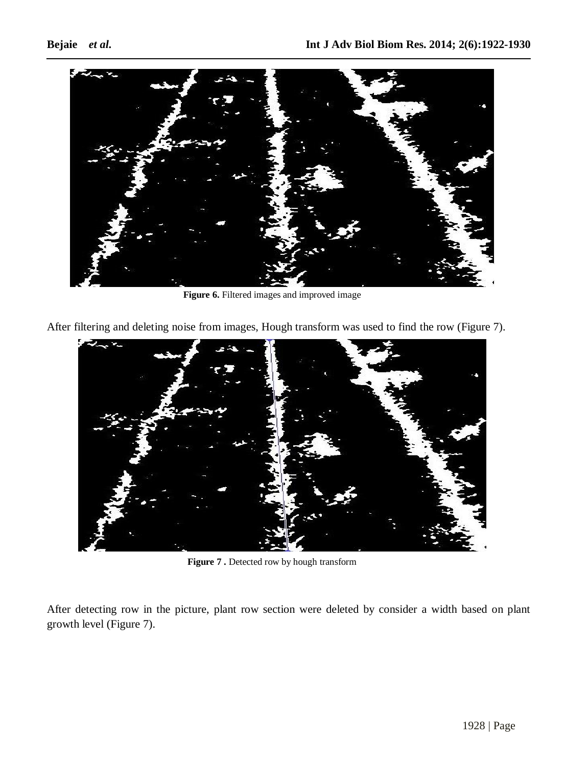

**Figure 6.** Filtered images and improved image

After filtering and deleting noise from images, Hough transform was used to find the row (Figure 7).



**Figure 7 .** Detected row by hough transform

After detecting row in the picture, plant row section were deleted by consider a width based on plant growth level (Figure 7).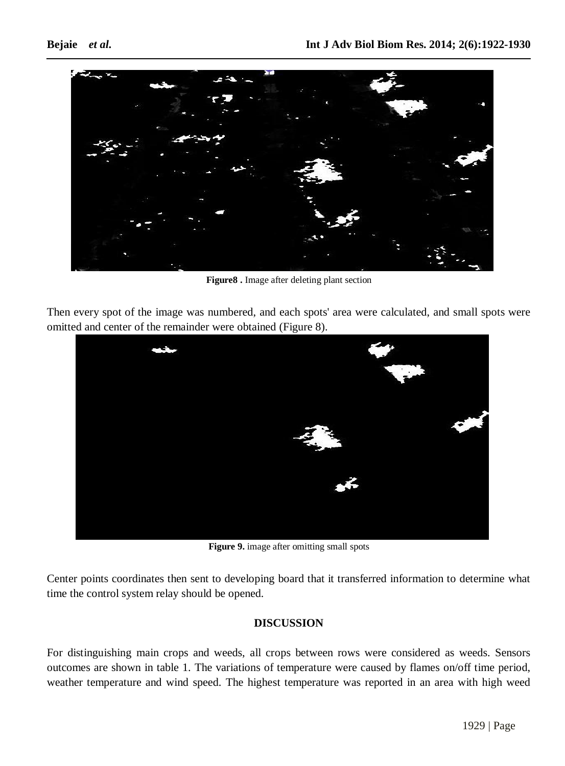



**Figure8 .** Image after deleting plant section

Then every spot of the image was numbered, and each spots' area were calculated, and small spots were omitted and center of the remainder were obtained (Figure 8).



**Figure 9.** image after omitting small spots

Center points coordinates then sent to developing board that it transferred information to determine what time the control system relay should be opened.

# **DISCUSSION**

For distinguishing main crops and weeds, all crops between rows were considered as weeds. Sensors outcomes are shown in table 1. The variations of temperature were caused by flames on/off time period, weather temperature and wind speed. The highest temperature was reported in an area with high weed